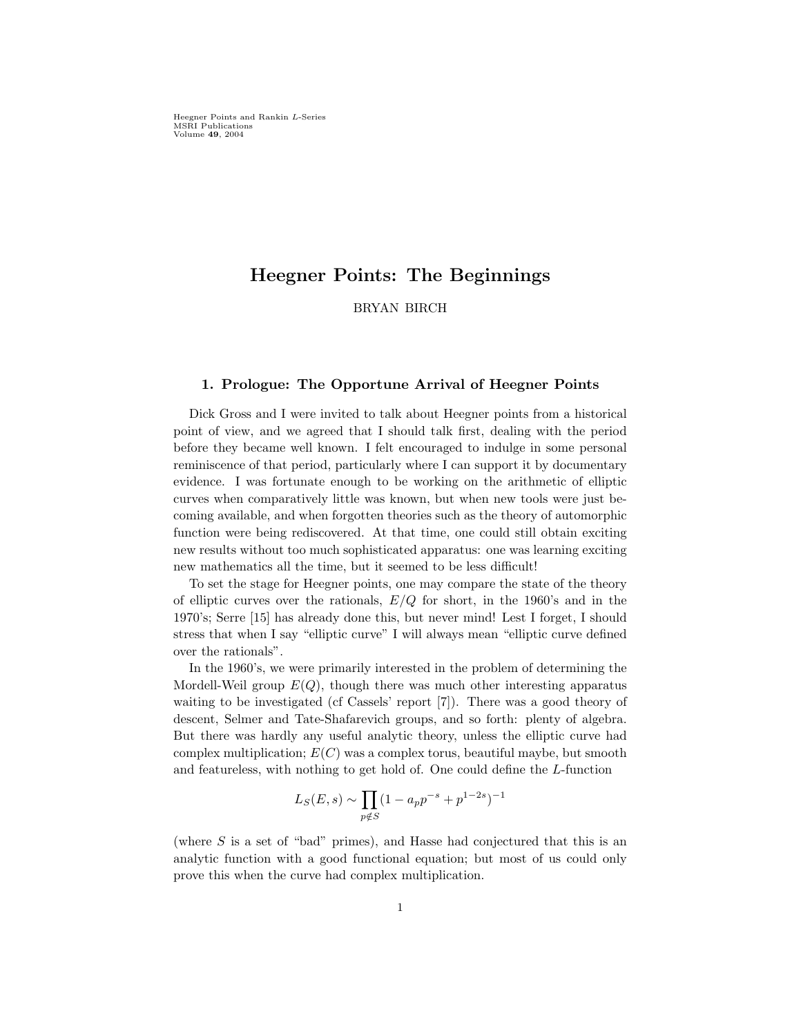# Heegner Points: The Beginnings

BRYAN BIRCH

## 1. Prologue: The Opportune Arrival of Heegner Points

Dick Gross and I were invited to talk about Heegner points from a historical point of view, and we agreed that I should talk first, dealing with the period before they became well known. I felt encouraged to indulge in some personal reminiscence of that period, particularly where I can support it by documentary evidence. I was fortunate enough to be working on the arithmetic of elliptic curves when comparatively little was known, but when new tools were just becoming available, and when forgotten theories such as the theory of automorphic function were being rediscovered. At that time, one could still obtain exciting new results without too much sophisticated apparatus: one was learning exciting new mathematics all the time, but it seemed to be less difficult!

To set the stage for Heegner points, one may compare the state of the theory of elliptic curves over the rationals,  $E/Q$  for short, in the 1960's and in the 1970's; Serre [15] has already done this, but never mind! Lest I forget, I should stress that when I say "elliptic curve" I will always mean "elliptic curve defined over the rationals".

In the 1960's, we were primarily interested in the problem of determining the Mordell-Weil group  $E(Q)$ , though there was much other interesting apparatus waiting to be investigated (cf Cassels' report [7]). There was a good theory of descent, Selmer and Tate-Shafarevich groups, and so forth: plenty of algebra. But there was hardly any useful analytic theory, unless the elliptic curve had complex multiplication;  $E(C)$  was a complex torus, beautiful maybe, but smooth and featureless, with nothing to get hold of. One could define the L-function

$$
L_S(E, s) \sim \prod_{p \notin S} (1 - a_p p^{-s} + p^{1-2s})^{-1}
$$

(where  $S$  is a set of "bad" primes), and Hasse had conjectured that this is an analytic function with a good functional equation; but most of us could only prove this when the curve had complex multiplication.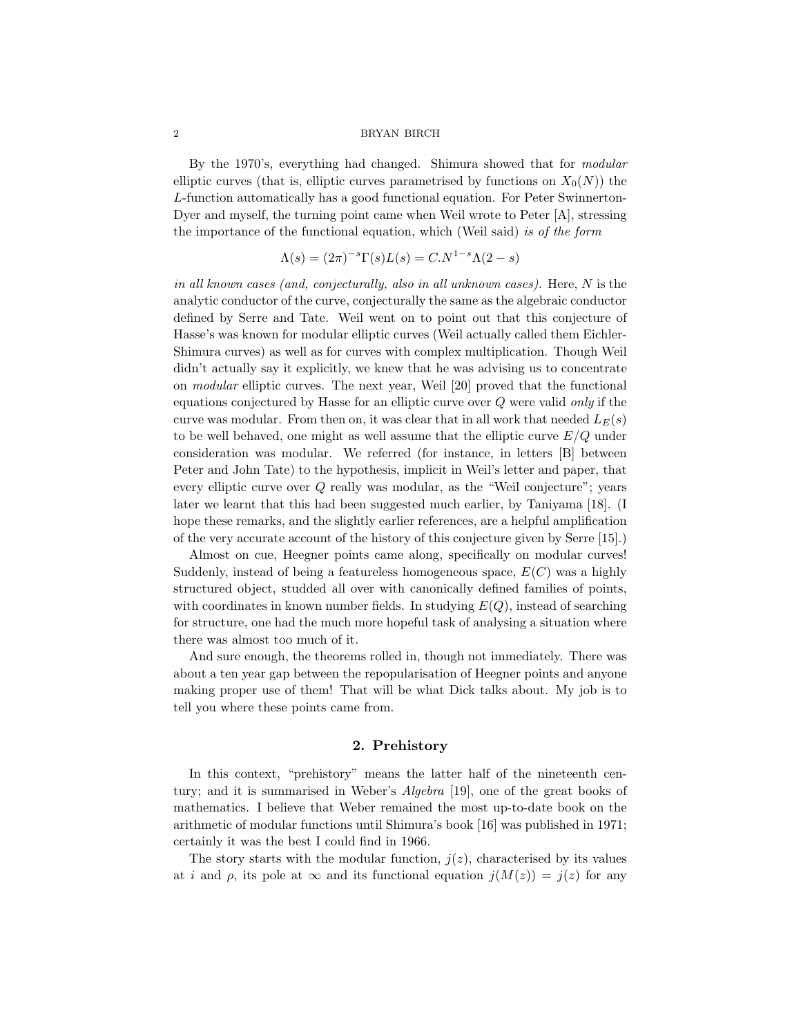By the 1970's, everything had changed. Shimura showed that for *modular* elliptic curves (that is, elliptic curves parametrised by functions on  $X_0(N)$ ) the L-function automatically has a good functional equation. For Peter Swinnerton-Dyer and myself, the turning point came when Weil wrote to Peter [A], stressing the importance of the functional equation, which (Weil said) is of the form

$$
\Lambda(s) = (2\pi)^{-s} \Gamma(s) L(s) = C.N^{1-s} \Lambda(2-s)
$$

in all known cases (and, conjecturally, also in all unknown cases). Here, N is the analytic conductor of the curve, conjecturally the same as the algebraic conductor defined by Serre and Tate. Weil went on to point out that this conjecture of Hasse's was known for modular elliptic curves (Weil actually called them Eichler-Shimura curves) as well as for curves with complex multiplication. Though Weil didn't actually say it explicitly, we knew that he was advising us to concentrate on modular elliptic curves. The next year, Weil [20] proved that the functional equations conjectured by Hasse for an elliptic curve over  $Q$  were valid only if the curve was modular. From then on, it was clear that in all work that needed  $L_E(s)$ to be well behaved, one might as well assume that the elliptic curve  $E/Q$  under consideration was modular. We referred (for instance, in letters [B] between Peter and John Tate) to the hypothesis, implicit in Weil's letter and paper, that every elliptic curve over Q really was modular, as the "Weil conjecture"; years later we learnt that this had been suggested much earlier, by Taniyama [18]. (I hope these remarks, and the slightly earlier references, are a helpful amplification of the very accurate account of the history of this conjecture given by Serre [15].)

Almost on cue, Heegner points came along, specifically on modular curves! Suddenly, instead of being a featureless homogeneous space,  $E(C)$  was a highly structured object, studded all over with canonically defined families of points, with coordinates in known number fields. In studying  $E(Q)$ , instead of searching for structure, one had the much more hopeful task of analysing a situation where there was almost too much of it.

And sure enough, the theorems rolled in, though not immediately. There was about a ten year gap between the repopularisation of Heegner points and anyone making proper use of them! That will be what Dick talks about. My job is to tell you where these points came from.

### 2. Prehistory

In this context, "prehistory" means the latter half of the nineteenth century; and it is summarised in Weber's Algebra [19], one of the great books of mathematics. I believe that Weber remained the most up-to-date book on the arithmetic of modular functions until Shimura's book [16] was published in 1971; certainly it was the best I could find in 1966.

The story starts with the modular function,  $j(z)$ , characterised by its values at i and  $\rho$ , its pole at  $\infty$  and its functional equation  $j(M(z)) = j(z)$  for any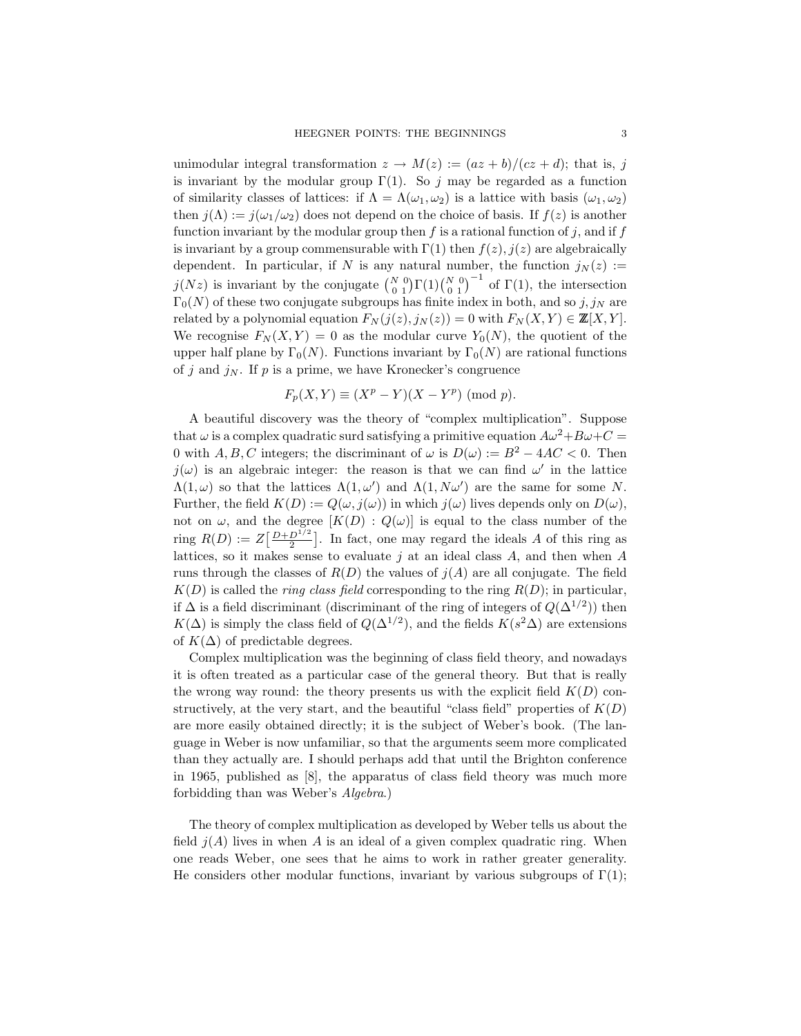unimodular integral transformation  $z \to M(z) := (az + b)/(cz + d)$ ; that is, j is invariant by the modular group  $\Gamma(1)$ . So j may be regarded as a function of similarity classes of lattices: if  $\Lambda = \Lambda(\omega_1, \omega_2)$  is a lattice with basis  $(\omega_1, \omega_2)$ then  $j(\Lambda) := j(\omega_1/\omega_2)$  does not depend on the choice of basis. If  $f(z)$  is another function invariant by the modular group then  $f$  is a rational function of  $j$ , and if  $f$ is invariant by a group commensurable with  $\Gamma(1)$  then  $f(z)$ ,  $j(z)$  are algebraically dependent. In particular, if N is any natural number, the function  $j_N(z) :=$  $j(Nz)$  is invariant by the conjugate  $\binom{N}{0} \Gamma(1) \binom{N}{0}^{-1}$  of  $\Gamma(1)$ , the intersection  $\Gamma_0(N)$  of these two conjugate subgroups has finite index in both, and so  $j, j_N$  are related by a polynomial equation  $F_N(j(z), j_N(z)) = 0$  with  $F_N(X, Y) \in \mathbb{Z}[X, Y]$ . We recognise  $F_N(X, Y) = 0$  as the modular curve  $Y_0(N)$ , the quotient of the upper half plane by  $\Gamma_0(N)$ . Functions invariant by  $\Gamma_0(N)$  are rational functions of j and  $j_N$ . If p is a prime, we have Kronecker's congruence

$$
F_p(X, Y) \equiv (X^p - Y)(X - Y^p) \pmod{p}.
$$

A beautiful discovery was the theory of "complex multiplication". Suppose that  $\omega$  is a complex quadratic surd satisfying a primitive equation  $A\omega^2+B\omega+C=$ 0 with  $A, B, C$  integers; the discriminant of  $\omega$  is  $D(\omega) := B^2 - 4AC < 0$ . Then  $j(\omega)$  is an algebraic integer: the reason is that we can find  $\omega'$  in the lattice  $\Lambda(1,\omega)$  so that the lattices  $\Lambda(1,\omega')$  and  $\Lambda(1,N\omega')$  are the same for some N. Further, the field  $K(D) := Q(\omega, j(\omega))$  in which  $j(\omega)$  lives depends only on  $D(\omega)$ , not on  $\omega$ , and the degree  $[K(D) : Q(\omega)]$  is equal to the class number of the ring  $R(D) := Z\left[\frac{D+D^{1/2}}{2}\right]$ ار<br>-. In fact, one may regard the ideals A of this ring as lattices, so it makes sense to evaluate j at an ideal class A, and then when  $A$ runs through the classes of  $R(D)$  the values of  $j(A)$  are all conjugate. The field  $K(D)$  is called the *ring class field* corresponding to the ring  $R(D)$ ; in particular, if  $\Delta$  is a field discriminant (discriminant of the ring of integers of  $Q(\Delta^{1/2})$ ) then  $K(\Delta)$  is simply the class field of  $Q(\Delta^{1/2})$ , and the fields  $K(s^2\Delta)$  are extensions of  $K(\Delta)$  of predictable degrees.

Complex multiplication was the beginning of class field theory, and nowadays it is often treated as a particular case of the general theory. But that is really the wrong way round: the theory presents us with the explicit field  $K(D)$  constructively, at the very start, and the beautiful "class field" properties of  $K(D)$ are more easily obtained directly; it is the subject of Weber's book. (The language in Weber is now unfamiliar, so that the arguments seem more complicated than they actually are. I should perhaps add that until the Brighton conference in 1965, published as [8], the apparatus of class field theory was much more forbidding than was Weber's Algebra.)

The theory of complex multiplication as developed by Weber tells us about the field  $j(A)$  lives in when A is an ideal of a given complex quadratic ring. When one reads Weber, one sees that he aims to work in rather greater generality. He considers other modular functions, invariant by various subgroups of  $\Gamma(1)$ ;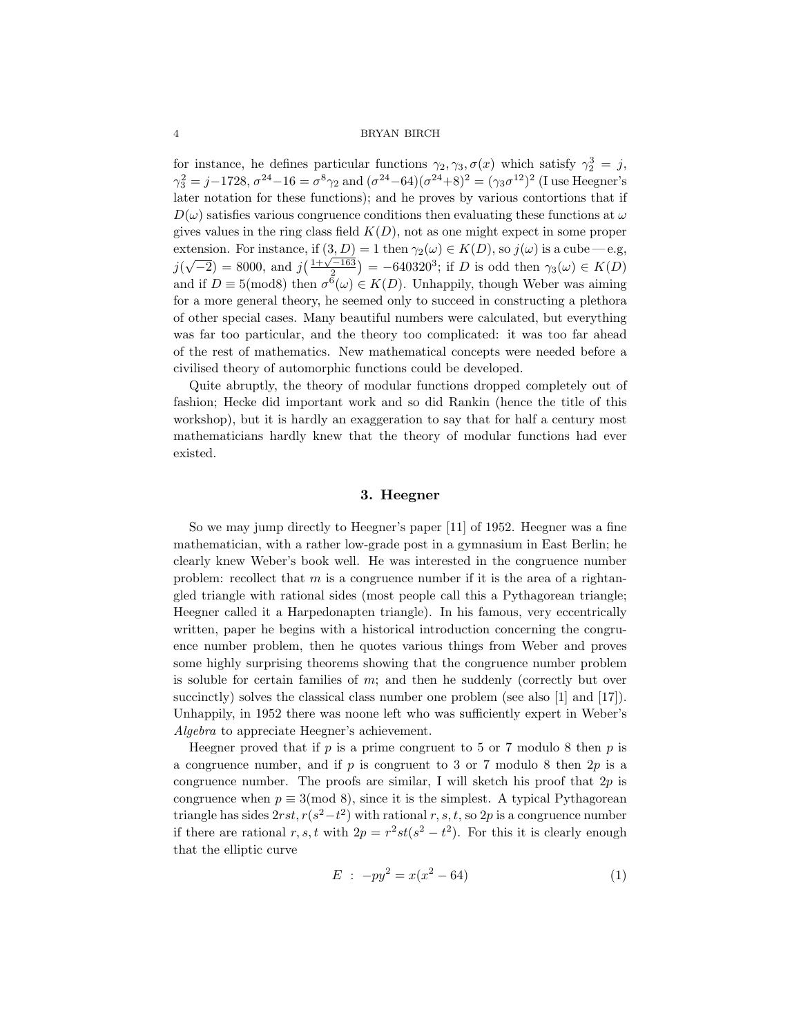for instance, he defines particular functions  $\gamma_2, \gamma_3, \sigma(x)$  which satisfy  $\gamma_2^3 = j$ ,  $\gamma_3^2 = j - 1728$ ,  $\sigma^{24} - 16 = \sigma^8 \gamma_2$  and  $(\sigma^{24} - 64)(\sigma^{24} + 8)^2 = (\gamma_3 \sigma^{12})^2$  (I use Heegner's later notation for these functions); and he proves by various contortions that if  $D(\omega)$  satisfies various congruence conditions then evaluating these functions at  $\omega$ gives values in the ring class field  $K(D)$ , not as one might expect in some proper extension. For instance, if  $(3, D) = 1$  then  $\gamma_2(\omega) \in K(D)$ , so  $j(\omega)$  is a cube — e.g,  $j(\sqrt{-2}) = 8000$ , and j  $\frac{(1+\sqrt{-163})}{2}$ = 1 then  $\eta_2(\omega) \in K(D)$ , so  $f(\omega)$  is a cube  $-\epsilon$ .g,<br>  $= -640320^3$ ; if D is odd then  $\gamma_3(\omega) \in K(D)$ and if  $D \equiv 5 \pmod{8}$  then  $\sigma^6(\omega) \in K(D)$ . Unhappily, though Weber was aiming for a more general theory, he seemed only to succeed in constructing a plethora of other special cases. Many beautiful numbers were calculated, but everything was far too particular, and the theory too complicated: it was too far ahead of the rest of mathematics. New mathematical concepts were needed before a civilised theory of automorphic functions could be developed.

Quite abruptly, the theory of modular functions dropped completely out of fashion; Hecke did important work and so did Rankin (hence the title of this workshop), but it is hardly an exaggeration to say that for half a century most mathematicians hardly knew that the theory of modular functions had ever existed.

# 3. Heegner

So we may jump directly to Heegner's paper [11] of 1952. Heegner was a fine mathematician, with a rather low-grade post in a gymnasium in East Berlin; he clearly knew Weber's book well. He was interested in the congruence number problem: recollect that m is a congruence number if it is the area of a rightangled triangle with rational sides (most people call this a Pythagorean triangle; Heegner called it a Harpedonapten triangle). In his famous, very eccentrically written, paper he begins with a historical introduction concerning the congruence number problem, then he quotes various things from Weber and proves some highly surprising theorems showing that the congruence number problem is soluble for certain families of  $m$ ; and then he suddenly (correctly but over succinctly) solves the classical class number one problem (see also [1] and [17]). Unhappily, in 1952 there was noone left who was sufficiently expert in Weber's Algebra to appreciate Heegner's achievement.

Heegner proved that if  $p$  is a prime congruent to 5 or 7 modulo 8 then  $p$  is a congruence number, and if p is congruent to 3 or 7 modulo 8 then  $2p$  is a congruence number. The proofs are similar, I will sketch his proof that  $2p$  is congruence when  $p \equiv 3 \pmod{8}$ , since it is the simplest. A typical Pythagorean triangle has sides  $2rst, r(s^2-t^2)$  with rational r, s, t, so  $2p$  is a congruence number if there are rational r, s, t with  $2p = r^2st(s^2 - t^2)$ . For this it is clearly enough that the elliptic curve

$$
E: -py^2 = x(x^2 - 64)
$$
 (1)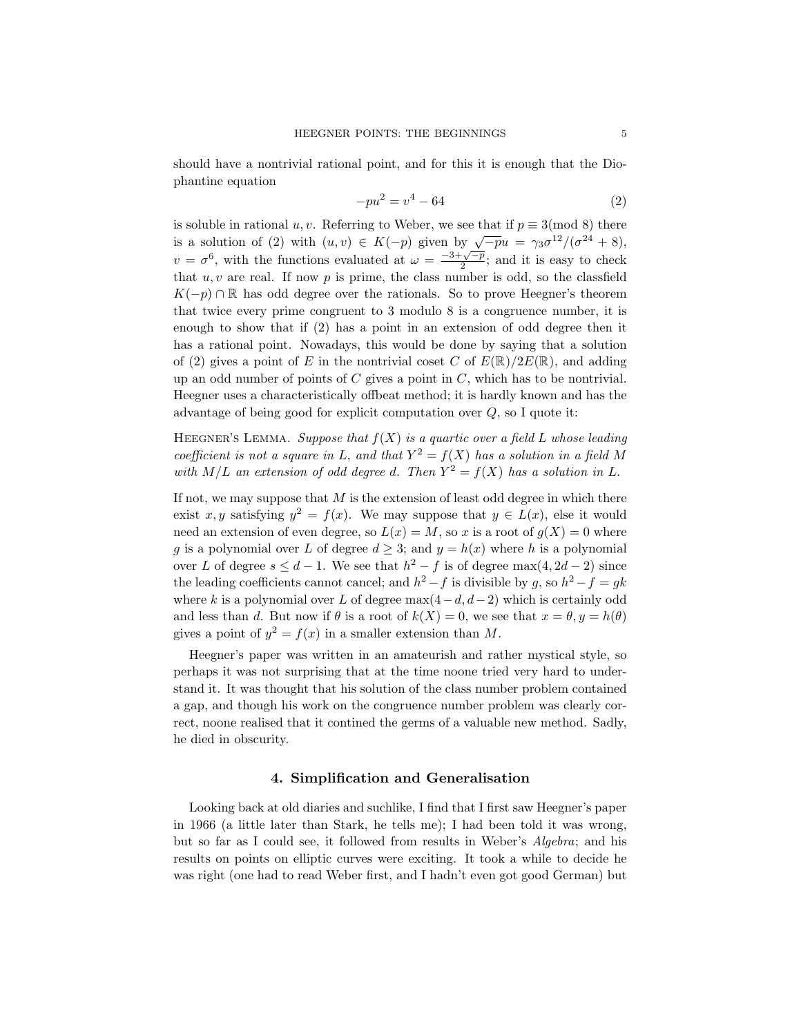should have a nontrivial rational point, and for this it is enough that the Diophantine equation

$$
-pu^2 = v^4 - 64\tag{2}
$$

is soluble in rational u, v. Referring to Weber, we see that if  $p \equiv 3 \pmod{8}$  there is solution of (2) with  $(u, v) \in K(-p)$  given by  $\sqrt{-p}u = \gamma_3\sigma^{12}/(\sigma^{24} + 8)$ ,  $v = \sigma^6$ , with the functions evaluated at  $\omega = \frac{-3+\sqrt{-p}}{2}$  $\frac{\sqrt{-p}}{2}$ ; and it is easy to check that  $u, v$  are real. If now  $p$  is prime, the class number is odd, so the classfield  $K(-p) \cap \mathbb{R}$  has odd degree over the rationals. So to prove Heegner's theorem that twice every prime congruent to 3 modulo 8 is a congruence number, it is enough to show that if (2) has a point in an extension of odd degree then it has a rational point. Nowadays, this would be done by saying that a solution of (2) gives a point of E in the nontrivial coset C of  $E(\mathbb{R})/2E(\mathbb{R})$ , and adding up an odd number of points of  $C$  gives a point in  $C$ , which has to be nontrivial. Heegner uses a characteristically offbeat method; it is hardly known and has the advantage of being good for explicit computation over  $Q$ , so I quote it:

HEEGNER'S LEMMA. Suppose that  $f(X)$  is a quartic over a field L whose leading coefficient is not a square in L, and that  $Y^2 = f(X)$  has a solution in a field M with M/L an extension of odd degree d. Then  $Y^2 = f(X)$  has a solution in L.

If not, we may suppose that  $M$  is the extension of least odd degree in which there exist x, y satisfying  $y^2 = f(x)$ . We may suppose that  $y \in L(x)$ , else it would need an extension of even degree, so  $L(x) = M$ , so x is a root of  $g(X) = 0$  where g is a polynomial over L of degree  $d \geq 3$ ; and  $y = h(x)$  where h is a polynomial over L of degree  $s \leq d-1$ . We see that  $h^2 - f$  is of degree max $(4, 2d - 2)$  since the leading coefficients cannot cancel; and  $h^2 - f$  is divisible by g, so  $h^2 - f = gk$ where k is a polynomial over L of degree  $max(4-d, d-2)$  which is certainly odd and less than d. But now if  $\theta$  is a root of  $k(X) = 0$ , we see that  $x = \theta, y = h(\theta)$ gives a point of  $y^2 = f(x)$  in a smaller extension than M.

Heegner's paper was written in an amateurish and rather mystical style, so perhaps it was not surprising that at the time noone tried very hard to understand it. It was thought that his solution of the class number problem contained a gap, and though his work on the congruence number problem was clearly correct, noone realised that it contined the germs of a valuable new method. Sadly, he died in obscurity.

# 4. Simplification and Generalisation

Looking back at old diaries and suchlike, I find that I first saw Heegner's paper in 1966 (a little later than Stark, he tells me); I had been told it was wrong, but so far as I could see, it followed from results in Weber's Algebra; and his results on points on elliptic curves were exciting. It took a while to decide he was right (one had to read Weber first, and I hadn't even got good German) but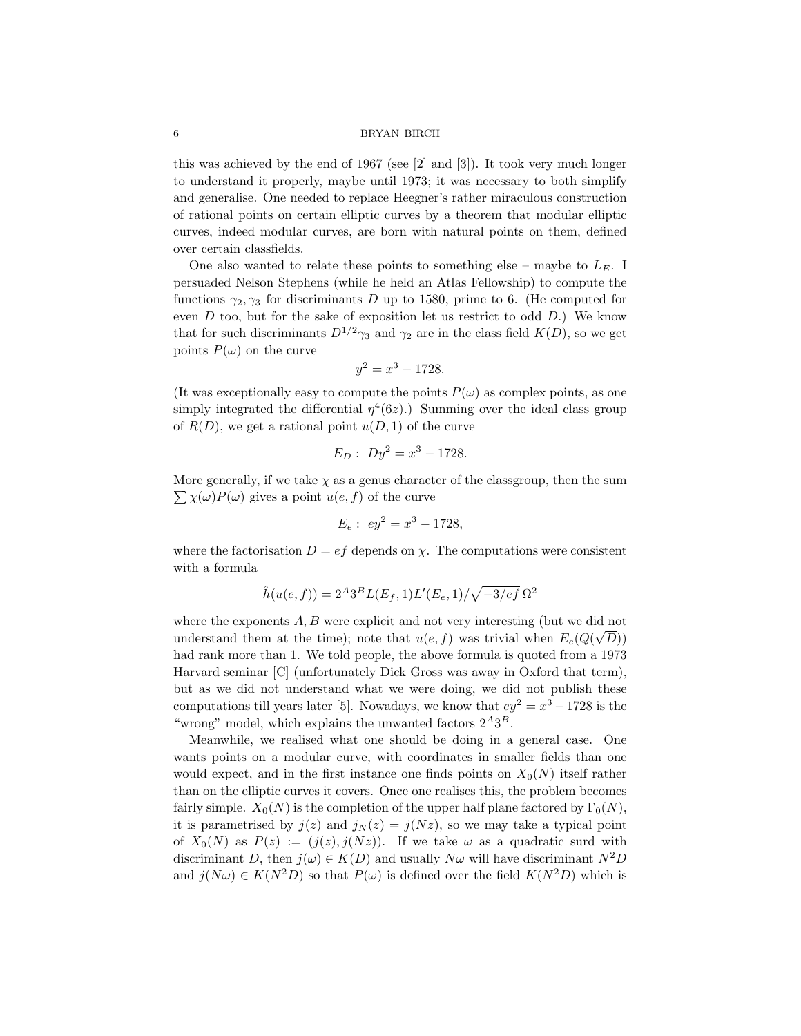this was achieved by the end of 1967 (see [2] and [3]). It took very much longer to understand it properly, maybe until 1973; it was necessary to both simplify and generalise. One needed to replace Heegner's rather miraculous construction of rational points on certain elliptic curves by a theorem that modular elliptic curves, indeed modular curves, are born with natural points on them, defined over certain classfields.

One also wanted to relate these points to something else – maybe to  $L<sub>E</sub>$ . I persuaded Nelson Stephens (while he held an Atlas Fellowship) to compute the functions  $\gamma_2, \gamma_3$  for discriminants D up to 1580, prime to 6. (He computed for even  $D$  too, but for the sake of exposition let us restrict to odd  $D$ .) We know that for such discriminants  $D^{1/2}\gamma_3$  and  $\gamma_2$  are in the class field  $K(D)$ , so we get points  $P(\omega)$  on the curve

$$
y^2 = x^3 - 1728.
$$

(It was exceptionally easy to compute the points  $P(\omega)$  as complex points, as one simply integrated the differential  $\eta^4(6z)$ .) Summing over the ideal class group of  $R(D)$ , we get a rational point  $u(D, 1)$  of the curve

$$
E_D: Dy^2 = x^3 - 1728.
$$

More generally, if we take  $\chi$  as a genus character of the classgroup, then the sum  $\sum \chi(\omega)P(\omega)$  gives a point  $u(e, f)$  of the curve

$$
E_e: ey^2 = x^3 - 1728,
$$

where the factorisation  $D = ef$  depends on  $\chi$ . The computations were consistent with a formula

$$
\hat{h}(u(e,f)) = 2^{A}3^{B}L(E_{f},1)L'(E_{e},1)/\sqrt{-3/ef}\,\Omega^{2}
$$

where the exponents  $A, B$  were explicit and not very interesting (but we did not understand them at the time); note that  $u(e, f)$  was trivial when  $E_e(Q(\sqrt{D}))$ had rank more than 1. We told people, the above formula is quoted from a 1973 Harvard seminar [C] (unfortunately Dick Gross was away in Oxford that term), but as we did not understand what we were doing, we did not publish these computations till years later [5]. Nowadays, we know that  $ey^2 = x^3 - 1728$  is the "wrong" model, which explains the unwanted factors  $2^{A}3^{B}$ .

Meanwhile, we realised what one should be doing in a general case. One wants points on a modular curve, with coordinates in smaller fields than one would expect, and in the first instance one finds points on  $X_0(N)$  itself rather than on the elliptic curves it covers. Once one realises this, the problem becomes fairly simple.  $X_0(N)$  is the completion of the upper half plane factored by  $\Gamma_0(N)$ , it is parametrised by  $j(z)$  and  $j<sub>N</sub>(z) = j(Nz)$ , so we may take a typical point of  $X_0(N)$  as  $P(z) := (j(z), j(Nz))$ . If we take  $\omega$  as a quadratic surd with discriminant D, then  $j(\omega) \in K(D)$  and usually  $N\omega$  will have discriminant  $N^2D$ and  $j(N\omega) \in K(N^2D)$  so that  $P(\omega)$  is defined over the field  $K(N^2D)$  which is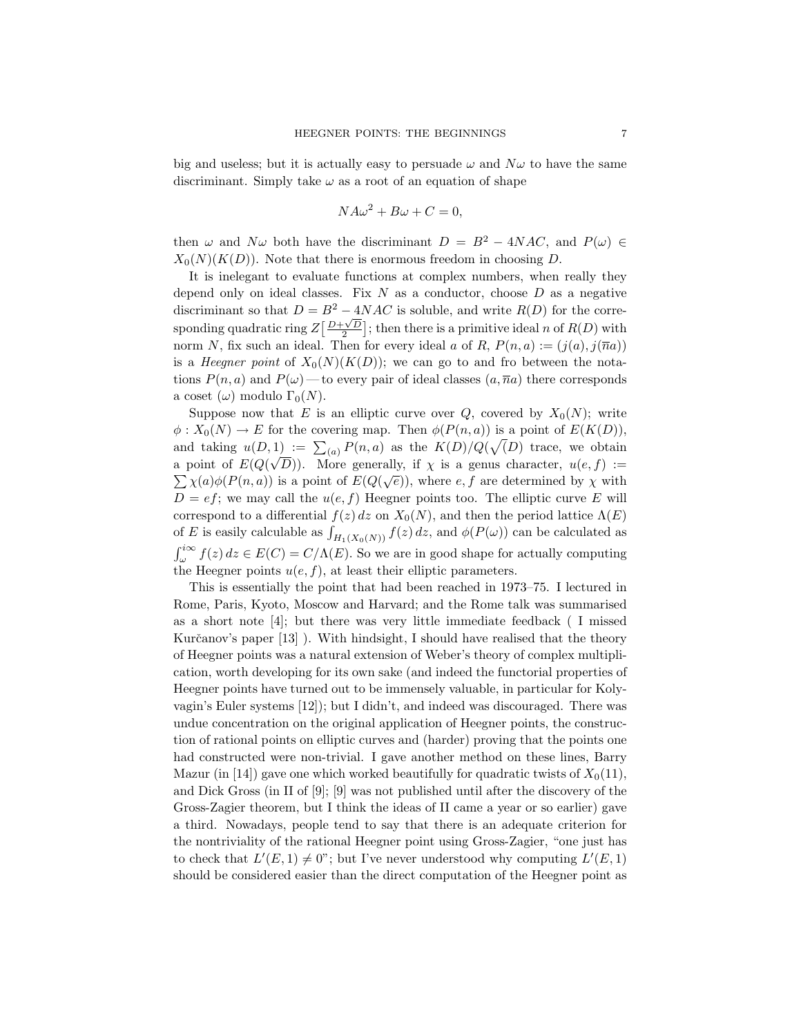big and useless; but it is actually easy to persuade  $\omega$  and  $N\omega$  to have the same discriminant. Simply take  $\omega$  as a root of an equation of shape

$$
NA\omega^2 + B\omega + C = 0,
$$

then  $\omega$  and  $N\omega$  both have the discriminant  $D = B^2 - 4NAC$ , and  $P(\omega) \in$  $X_0(N)(K(D))$ . Note that there is enormous freedom in choosing D.

It is inelegant to evaluate functions at complex numbers, when really they depend only on ideal classes. Fix  $N$  as a conductor, choose  $D$  as a negative discriminant so that  $D = B^2 - 4NAC$  is soluble, and write  $R(D)$  for the corresponding quadratic ring  $Z\left[\frac{D+\sqrt{D}}{2}\right]$ ا∶<br>⊤ ; then there is a primitive ideal n of  $R(D)$  with norm N, fix such an ideal. Then for every ideal a of R,  $P(n, a) := (j(a), j(\overline{n}a))$ is a *Heegner point* of  $X_0(N)(K(D))$ ; we can go to and fro between the notations  $P(n, a)$  and  $P(\omega)$ — to every pair of ideal classes  $(a, \overline{n}a)$  there corresponds a coset  $(\omega)$  modulo  $\Gamma_0(N)$ .

Suppose now that E is an elliptic curve over Q, covered by  $X_0(N)$ ; write  $\phi: X_0(N) \to E$  for the covering map. Then  $\phi(P(n,a))$  is a point of  $E(K(D))$ ,  $\varphi : \Lambda_0(N) \to L$  for the covering map. Then  $\varphi(T(n, a))$  is a point of  $E(K(D))$ ,<br>and taking  $u(D, 1) := \sum_{(a)} P(n, a)$  as the  $K(D)/Q(\sqrt(D))$  trace, we obtain a point of  $E(Q(\sqrt{D}))$ . More generally, if  $\chi$  is a genus character,  $u(e, f) := \sum_{\chi} \chi(\chi(e)) \chi(e)$  $\sum \chi(a)\phi(P(n, a))$  is a point of  $E(Q(\sqrt{e}))$ , where e, f are determined by  $\chi$  with  $D = ef$ ; we may call the  $u(e, f)$  Heegner points too. The elliptic curve E will correspond to a differential  $f(z) dz$  on  $X_0(N)$ , and then the period lattice  $\Lambda(E)$ correspond to a dimerential  $f(z)$  as on  $\Lambda_0(N)$ , and then the period lattice  $\Lambda(E)$ <br>of E is easily calculable as  $\int_{H_1(X_0(N))} f(z) dz$ , and  $\phi(P(\omega))$  can be calculated as  $r^{i\infty}$  $\int_{\omega}^{\infty} f(z) dz \in E(C) = C/\Lambda(E)$ . So we are in good shape for actually computing the Heegner points  $u(e, f)$ , at least their elliptic parameters.

This is essentially the point that had been reached in 1973–75. I lectured in Rome, Paris, Kyoto, Moscow and Harvard; and the Rome talk was summarised as a short note [4]; but there was very little immediate feedback ( I missed Kurčanov's paper  $[13]$ ). With hindsight, I should have realised that the theory of Heegner points was a natural extension of Weber's theory of complex multiplication, worth developing for its own sake (and indeed the functorial properties of Heegner points have turned out to be immensely valuable, in particular for Kolyvagin's Euler systems [12]); but I didn't, and indeed was discouraged. There was undue concentration on the original application of Heegner points, the construction of rational points on elliptic curves and (harder) proving that the points one had constructed were non-trivial. I gave another method on these lines, Barry Mazur (in [14]) gave one which worked beautifully for quadratic twists of  $X_0(11)$ , and Dick Gross (in II of [9]; [9] was not published until after the discovery of the Gross-Zagier theorem, but I think the ideas of II came a year or so earlier) gave a third. Nowadays, people tend to say that there is an adequate criterion for the nontriviality of the rational Heegner point using Gross-Zagier, "one just has to check that  $L'(E, 1) \neq 0$ "; but I've never understood why computing  $L'(E, 1)$ should be considered easier than the direct computation of the Heegner point as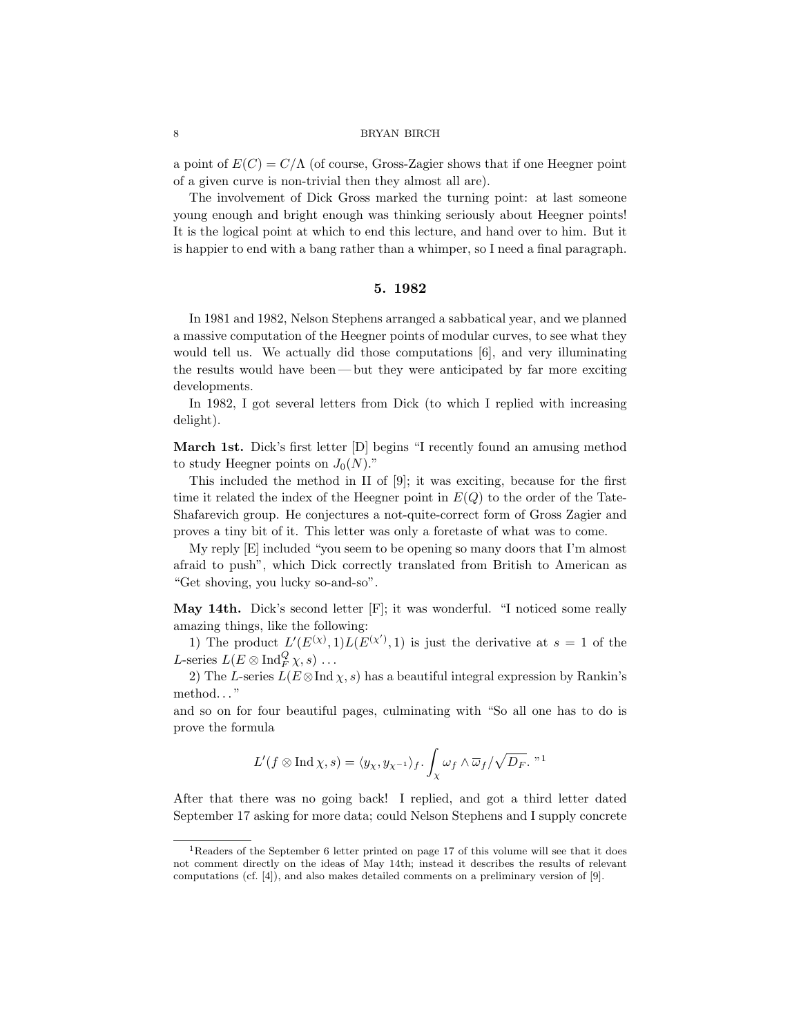a point of  $E(C) = C/\Lambda$  (of course, Gross-Zagier shows that if one Heegner point of a given curve is non-trivial then they almost all are).

The involvement of Dick Gross marked the turning point: at last someone young enough and bright enough was thinking seriously about Heegner points! It is the logical point at which to end this lecture, and hand over to him. But it is happier to end with a bang rather than a whimper, so I need a final paragraph.

## 5. 1982

In 1981 and 1982, Nelson Stephens arranged a sabbatical year, and we planned a massive computation of the Heegner points of modular curves, to see what they would tell us. We actually did those computations [6], and very illuminating the results would have been— but they were anticipated by far more exciting developments.

In 1982, I got several letters from Dick (to which I replied with increasing delight).

March 1st. Dick's first letter [D] begins "I recently found an amusing method to study Heegner points on  $J_0(N)$ ."

This included the method in II of [9]; it was exciting, because for the first time it related the index of the Heegner point in  $E(Q)$  to the order of the Tate-Shafarevich group. He conjectures a not-quite-correct form of Gross Zagier and proves a tiny bit of it. This letter was only a foretaste of what was to come.

My reply [E] included "you seem to be opening so many doors that I'm almost afraid to push", which Dick correctly translated from British to American as "Get shoving, you lucky so-and-so".

May 14th. Dick's second letter [F]; it was wonderful. "I noticed some really amazing things, like the following:

1) The product  $L'(E^{(\chi)}, 1)L(E^{(\chi')}, 1)$  is just the derivative at  $s = 1$  of the L-series  $L(E \otimes \text{Ind}_F^Q \chi, s) \dots$ 

2) The L-series  $L(E \otimes \text{Ind } \chi, s)$  has a beautiful integral expression by Rankin's method. . . "

and so on for four beautiful pages, culminating with "So all one has to do is prove the formula

$$
L'(f\otimes \operatorname{Ind} \chi,s)=\langle y_{\chi},y_{\chi^{-1}}\rangle_{f}.\int_{\chi}\omega_{f}\wedge \overline{\omega}_{f}/\sqrt{D_{F}}. \ ^{n}1
$$

After that there was no going back! I replied, and got a third letter dated September 17 asking for more data; could Nelson Stephens and I supply concrete

<sup>1</sup>Readers of the September 6 letter printed on page 17 of this volume will see that it does not comment directly on the ideas of May 14th; instead it describes the results of relevant computations (cf. [4]), and also makes detailed comments on a preliminary version of [9].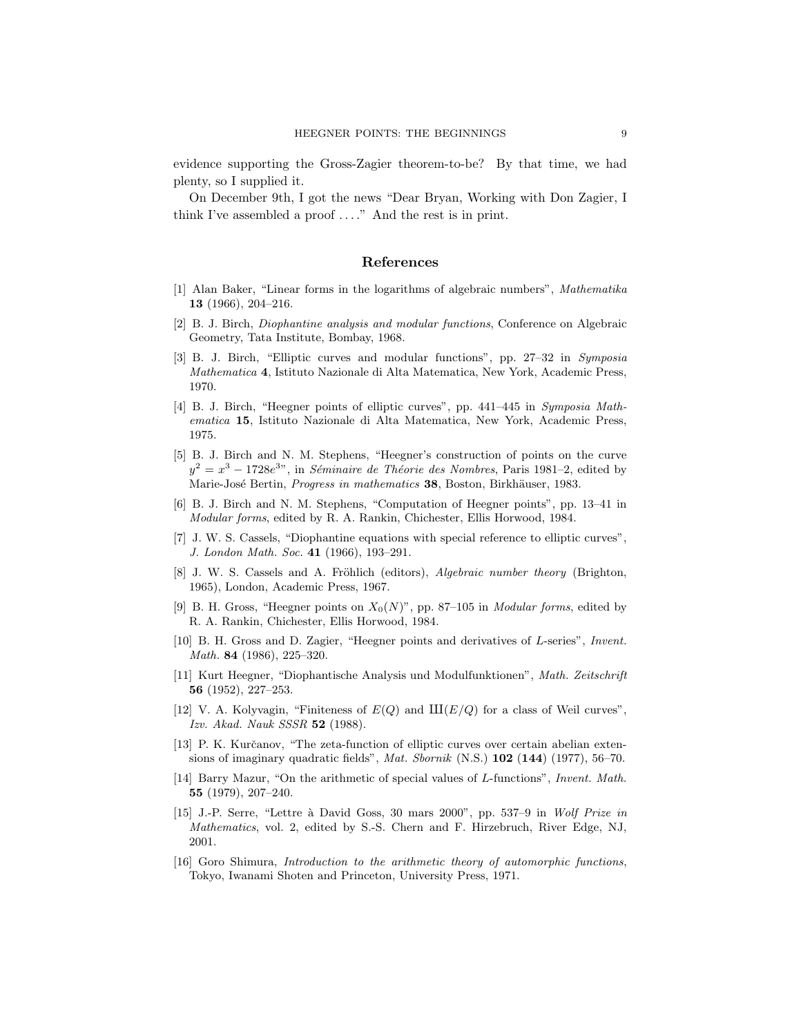evidence supporting the Gross-Zagier theorem-to-be? By that time, we had plenty, so I supplied it.

On December 9th, I got the news "Dear Bryan, Working with Don Zagier, I think I've assembled a proof . . . ." And the rest is in print.

## References

- [1] Alan Baker, "Linear forms in the logarithms of algebraic numbers", Mathematika 13 (1966), 204–216.
- [2] B. J. Birch, Diophantine analysis and modular functions, Conference on Algebraic Geometry, Tata Institute, Bombay, 1968.
- [3] B. J. Birch, "Elliptic curves and modular functions", pp. 27–32 in Symposia Mathematica 4, Istituto Nazionale di Alta Matematica, New York, Academic Press, 1970.
- [4] B. J. Birch, "Heegner points of elliptic curves", pp. 441–445 in Symposia Mathematica 15, Istituto Nazionale di Alta Matematica, New York, Academic Press, 1975.
- [5] B. J. Birch and N. M. Stephens, "Heegner's construction of points on the curve  $y^2 = x^3 - 1728e^{3y}$ , in *Séminaire de Théorie des Nombres*, Paris 1981–2, edited by Marie-José Bertin, *Progress in mathematics* 38, Boston, Birkhäuser, 1983.
- [6] B. J. Birch and N. M. Stephens, "Computation of Heegner points", pp. 13–41 in Modular forms, edited by R. A. Rankin, Chichester, Ellis Horwood, 1984.
- [7] J. W. S. Cassels, "Diophantine equations with special reference to elliptic curves", J. London Math. Soc. 41 (1966), 193–291.
- [8] J. W. S. Cassels and A. Fröhlich (editors), *Algebraic number theory* (Brighton, 1965), London, Academic Press, 1967.
- [9] B. H. Gross, "Heegner points on  $X_0(N)$ ", pp. 87–105 in *Modular forms*, edited by R. A. Rankin, Chichester, Ellis Horwood, 1984.
- [10] B. H. Gross and D. Zagier, "Heegner points and derivatives of L-series", Invent. Math. 84 (1986), 225–320.
- [11] Kurt Heegner, "Diophantische Analysis und Modulfunktionen", Math. Zeitschrift 56 (1952), 227–253.
- [12] V. A. Kolyvagin, "Finiteness of  $E(Q)$  and  $III(E/Q)$  for a class of Weil curves", Izv. Akad. Nauk SSSR 52 (1988).
- [13] P. K. Kurčanov, "The zeta-function of elliptic curves over certain abelian extensions of imaginary quadratic fields", Mat. Sbornik  $(N.S.)$  102 (144) (1977), 56–70.
- [14] Barry Mazur, "On the arithmetic of special values of L-functions", Invent. Math. 55 (1979), 207–240.
- [15] J.-P. Serre, "Lettre à David Goss, 30 mars 2000", pp. 537-9 in Wolf Prize in Mathematics, vol. 2, edited by S.-S. Chern and F. Hirzebruch, River Edge, NJ, 2001.
- [16] Goro Shimura, Introduction to the arithmetic theory of automorphic functions, Tokyo, Iwanami Shoten and Princeton, University Press, 1971.